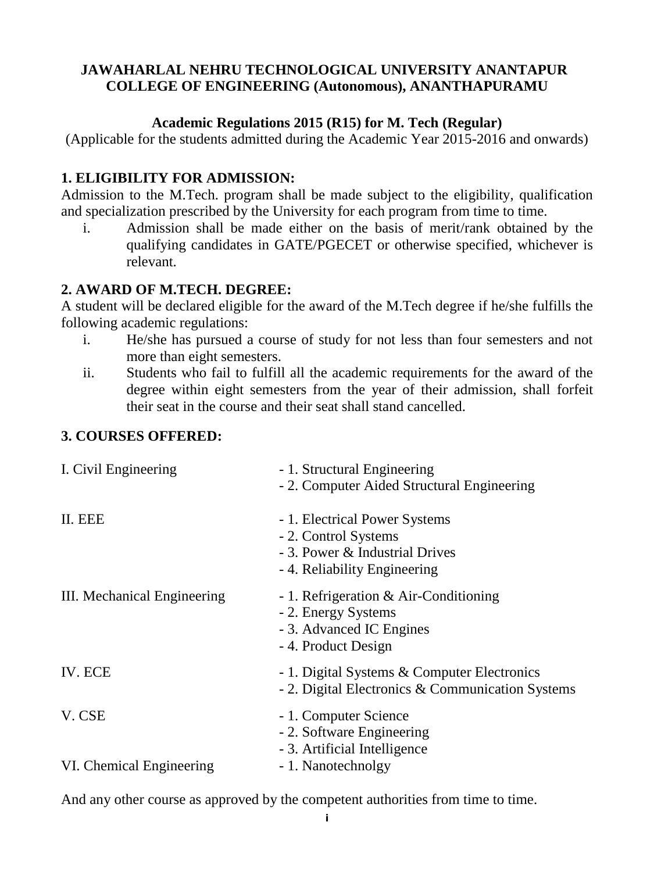#### **JAWAHARLAL NEHRU TECHNOLOGICAL UNIVERSITY ANANTAPUR COLLEGE OF ENGINEERING (Autonomous), ANANTHAPURAMU**

### **Academic Regulations 2015 (R15) for M. Tech (Regular)**

(Applicable for the students admitted during the Academic Year 2015-2016 and onwards)

## **1. ELIGIBILITY FOR ADMISSION:**

Admission to the M.Tech. program shall be made subject to the eligibility, qualification and specialization prescribed by the University for each program from time to time.

i. Admission shall be made either on the basis of merit/rank obtained by the qualifying candidates in GATE/PGECET or otherwise specified, whichever is relevant.

## **2. AWARD OF M.TECH. DEGREE:**

A student will be declared eligible for the award of the M.Tech degree if he/she fulfills the following academic regulations:

- i. He/she has pursued a course of study for not less than four semesters and not more than eight semesters.
- ii. Students who fail to fulfill all the academic requirements for the award of the degree within eight semesters from the year of their admission, shall forfeit their seat in the course and their seat shall stand cancelled.

### **3. COURSES OFFERED:**

| I. Civil Engineering               | - 1. Structural Engineering<br>- 2. Computer Aided Structural Engineering                                               |
|------------------------------------|-------------------------------------------------------------------------------------------------------------------------|
| II. EEE                            | - 1. Electrical Power Systems<br>- 2. Control Systems<br>- 3. Power & Industrial Drives<br>- 4. Reliability Engineering |
| III. Mechanical Engineering        | - 1. Refrigeration & Air-Conditioning<br>- 2. Energy Systems<br>- 3. Advanced IC Engines<br>- 4. Product Design         |
| IV. ECE                            | - 1. Digital Systems & Computer Electronics<br>- 2. Digital Electronics & Communication Systems                         |
| V. CSE<br>VI. Chemical Engineering | - 1. Computer Science<br>- 2. Software Engineering<br>- 3. Artificial Intelligence<br>- 1. Nanotechnolgy                |
|                                    |                                                                                                                         |

And any other course as approved by the competent authorities from time to time.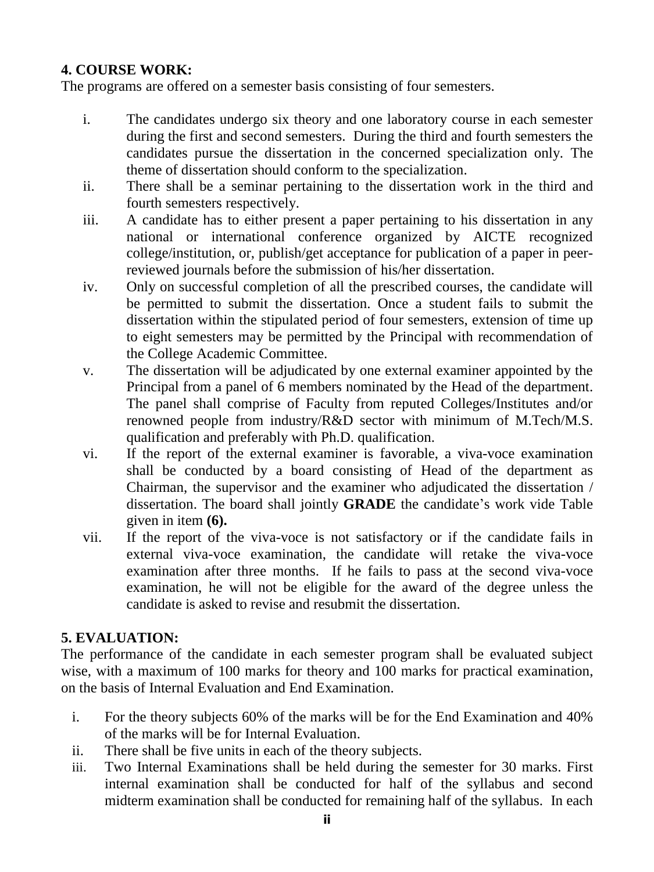### **4. COURSE WORK:**

The programs are offered on a semester basis consisting of four semesters.

- i. The candidates undergo six theory and one laboratory course in each semester during the first and second semesters. During the third and fourth semesters the candidates pursue the dissertation in the concerned specialization only. The theme of dissertation should conform to the specialization.
- ii. There shall be a seminar pertaining to the dissertation work in the third and fourth semesters respectively.
- iii. A candidate has to either present a paper pertaining to his dissertation in any national or international conference organized by AICTE recognized college/institution, or, publish/get acceptance for publication of a paper in peerreviewed journals before the submission of his/her dissertation.
- iv. Only on successful completion of all the prescribed courses, the candidate will be permitted to submit the dissertation. Once a student fails to submit the dissertation within the stipulated period of four semesters, extension of time up to eight semesters may be permitted by the Principal with recommendation of the College Academic Committee.
- v. The dissertation will be adjudicated by one external examiner appointed by the Principal from a panel of 6 members nominated by the Head of the department. The panel shall comprise of Faculty from reputed Colleges/Institutes and/or renowned people from industry/R&D sector with minimum of M.Tech/M.S. qualification and preferably with Ph.D. qualification.
- vi. If the report of the external examiner is favorable, a viva-voce examination shall be conducted by a board consisting of Head of the department as Chairman, the supervisor and the examiner who adjudicated the dissertation / dissertation. The board shall jointly **GRADE** the candidate's work vide Table given in item **(6).**
- vii. If the report of the viva-voce is not satisfactory or if the candidate fails in external viva-voce examination, the candidate will retake the viva-voce examination after three months. If he fails to pass at the second viva-voce examination, he will not be eligible for the award of the degree unless the candidate is asked to revise and resubmit the dissertation.

### **5. EVALUATION:**

The performance of the candidate in each semester program shall be evaluated subject wise, with a maximum of 100 marks for theory and 100 marks for practical examination, on the basis of Internal Evaluation and End Examination.

- i. For the theory subjects 60% of the marks will be for the End Examination and 40% of the marks will be for Internal Evaluation.
- ii. There shall be five units in each of the theory subjects.
- iii. Two Internal Examinations shall be held during the semester for 30 marks. First internal examination shall be conducted for half of the syllabus and second midterm examination shall be conducted for remaining half of the syllabus. In each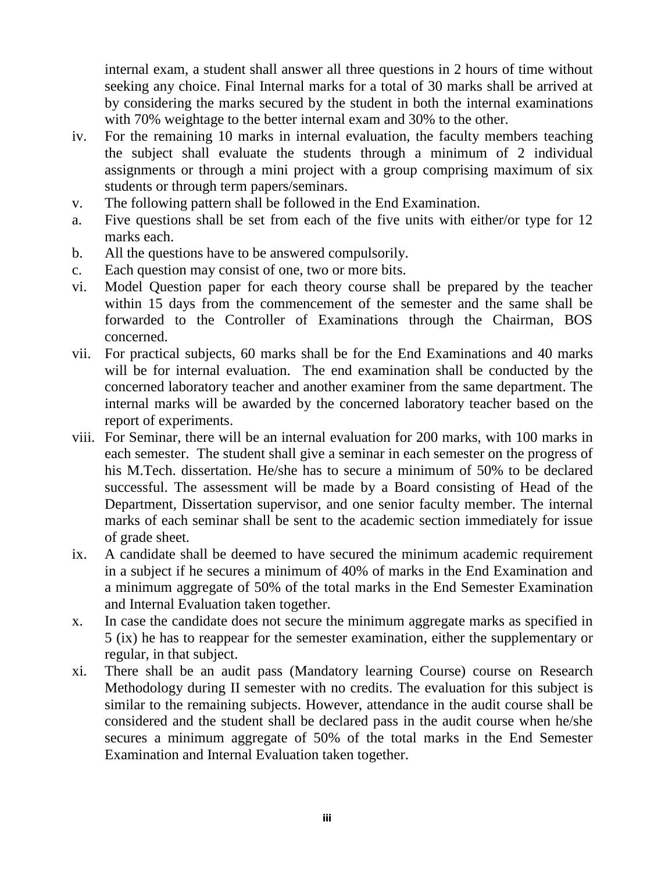internal exam, a student shall answer all three questions in 2 hours of time without seeking any choice. Final Internal marks for a total of 30 marks shall be arrived at by considering the marks secured by the student in both the internal examinations with 70% weightage to the better internal exam and 30% to the other.

- iv. For the remaining 10 marks in internal evaluation, the faculty members teaching the subject shall evaluate the students through a minimum of 2 individual assignments or through a mini project with a group comprising maximum of six students or through term papers/seminars.
- v. The following pattern shall be followed in the End Examination.
- a. Five questions shall be set from each of the five units with either/or type for 12 marks each.
- b. All the questions have to be answered compulsorily.
- c. Each question may consist of one, two or more bits.
- vi. Model Question paper for each theory course shall be prepared by the teacher within 15 days from the commencement of the semester and the same shall be forwarded to the Controller of Examinations through the Chairman, BOS concerned.
- vii. For practical subjects, 60 marks shall be for the End Examinations and 40 marks will be for internal evaluation. The end examination shall be conducted by the concerned laboratory teacher and another examiner from the same department. The internal marks will be awarded by the concerned laboratory teacher based on the report of experiments.
- viii. For Seminar, there will be an internal evaluation for 200 marks, with 100 marks in each semester. The student shall give a seminar in each semester on the progress of his M.Tech. dissertation. He/she has to secure a minimum of 50% to be declared successful. The assessment will be made by a Board consisting of Head of the Department, Dissertation supervisor, and one senior faculty member. The internal marks of each seminar shall be sent to the academic section immediately for issue of grade sheet.
- ix. A candidate shall be deemed to have secured the minimum academic requirement in a subject if he secures a minimum of 40% of marks in the End Examination and a minimum aggregate of 50% of the total marks in the End Semester Examination and Internal Evaluation taken together.
- x. In case the candidate does not secure the minimum aggregate marks as specified in 5 (ix) he has to reappear for the semester examination, either the supplementary or regular, in that subject.
- xi. There shall be an audit pass (Mandatory learning Course) course on Research Methodology during II semester with no credits. The evaluation for this subject is similar to the remaining subjects. However, attendance in the audit course shall be considered and the student shall be declared pass in the audit course when he/she secures a minimum aggregate of 50% of the total marks in the End Semester Examination and Internal Evaluation taken together.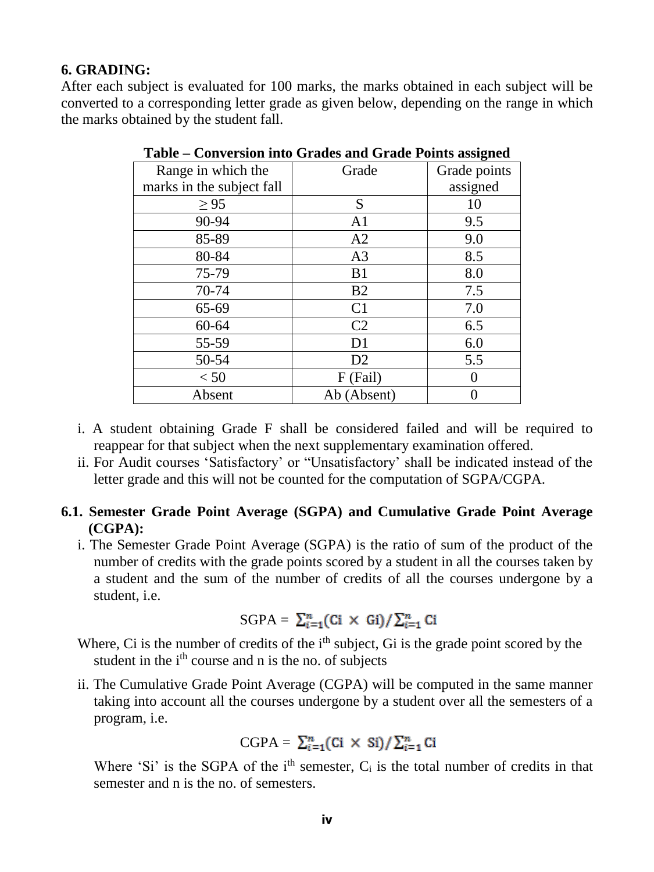#### **6. GRADING:**

After each subject is evaluated for 100 marks, the marks obtained in each subject will be converted to a corresponding letter grade as given below, depending on the range in which the marks obtained by the student fall.

| Range in which the        | Grade          | Grade points |
|---------------------------|----------------|--------------|
| marks in the subject fall |                | assigned     |
| $\geq$ 95                 | S              | 10           |
| 90-94                     | A <sub>1</sub> | 9.5          |
| 85-89                     | A2             | 9.0          |
| 80-84                     | A <sub>3</sub> | 8.5          |
| 75-79                     | B1             | 8.0          |
| 70-74                     | B <sub>2</sub> | 7.5          |
| 65-69                     | C <sub>1</sub> | 7.0          |
| 60-64                     | C <sub>2</sub> | 6.5          |
| 55-59                     | D <sub>1</sub> | 6.0          |
| 50-54                     | D2             | 5.5          |
| < 50                      | F (Fail)       |              |
| Absent                    | Ab (Absent)    |              |

**Table – Conversion into Grades and Grade Points assigned**

- i. A student obtaining Grade F shall be considered failed and will be required to reappear for that subject when the next supplementary examination offered.
- ii. For Audit courses 'Satisfactory' or "Unsatisfactory' shall be indicated instead of the letter grade and this will not be counted for the computation of SGPA/CGPA.

#### **6.1. Semester Grade Point Average (SGPA) and Cumulative Grade Point Average (CGPA):**

i. The Semester Grade Point Average (SGPA) is the ratio of sum of the product of the number of credits with the grade points scored by a student in all the courses taken by a student and the sum of the number of credits of all the courses undergone by a student, i.e.

SGPA = 
$$
\sum_{i=1}^{n} (Ci \times Gi) / \sum_{i=1}^{n} Ci
$$

Where, Ci is the number of credits of the  $i<sup>th</sup>$  subject, Gi is the grade point scored by the student in the  $i<sup>th</sup>$  course and n is the no. of subjects

ii. The Cumulative Grade Point Average (CGPA) will be computed in the same manner taking into account all the courses undergone by a student over all the semesters of a program, i.e.

$$
CGPA = \sum_{i=1}^{n} (Ci \times Si) / \sum_{i=1}^{n} Ci
$$

Where 'Si' is the SGPA of the  $i<sup>th</sup>$  semester,  $C_i$  is the total number of credits in that semester and n is the no. of semesters.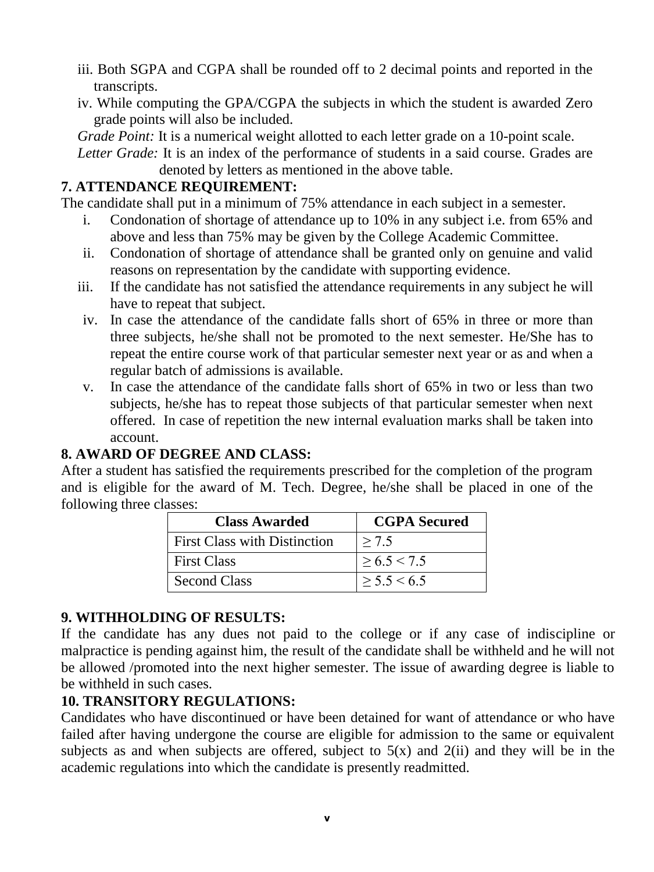- iii. Both SGPA and CGPA shall be rounded off to 2 decimal points and reported in the transcripts.
- iv. While computing the GPA/CGPA the subjects in which the student is awarded Zero grade points will also be included.

*Grade Point:* It is a numerical weight allotted to each letter grade on a 10-point scale.

Letter Grade: It is an index of the performance of students in a said course. Grades are denoted by letters as mentioned in the above table.

## **7. ATTENDANCE REQUIREMENT:**

The candidate shall put in a minimum of 75% attendance in each subject in a semester.

- i. Condonation of shortage of attendance up to 10% in any subject i.e. from 65% and above and less than 75% may be given by the College Academic Committee.
- ii. Condonation of shortage of attendance shall be granted only on genuine and valid reasons on representation by the candidate with supporting evidence.
- iii. If the candidate has not satisfied the attendance requirements in any subject he will have to repeat that subject.
- iv. In case the attendance of the candidate falls short of 65% in three or more than three subjects, he/she shall not be promoted to the next semester. He/She has to repeat the entire course work of that particular semester next year or as and when a regular batch of admissions is available.
- v. In case the attendance of the candidate falls short of 65% in two or less than two subjects, he/she has to repeat those subjects of that particular semester when next offered. In case of repetition the new internal evaluation marks shall be taken into account.

## **8. AWARD OF DEGREE AND CLASS:**

After a student has satisfied the requirements prescribed for the completion of the program and is eligible for the award of M. Tech. Degree, he/she shall be placed in one of the following three classes:

| <b>Class Awarded</b>                | <b>CGPA Secured</b> |
|-------------------------------------|---------------------|
| <b>First Class with Distinction</b> | > 7.5               |
| <b>First Class</b>                  | > 6.5 < 7.5         |
| <b>Second Class</b>                 | > 5.5 < 6.5         |

## **9. WITHHOLDING OF RESULTS:**

If the candidate has any dues not paid to the college or if any case of indiscipline or malpractice is pending against him, the result of the candidate shall be withheld and he will not be allowed /promoted into the next higher semester. The issue of awarding degree is liable to be withheld in such cases.

## **10. TRANSITORY REGULATIONS:**

Candidates who have discontinued or have been detained for want of attendance or who have failed after having undergone the course are eligible for admission to the same or equivalent subjects as and when subjects are offered, subject to  $5(x)$  and  $2(ii)$  and they will be in the academic regulations into which the candidate is presently readmitted.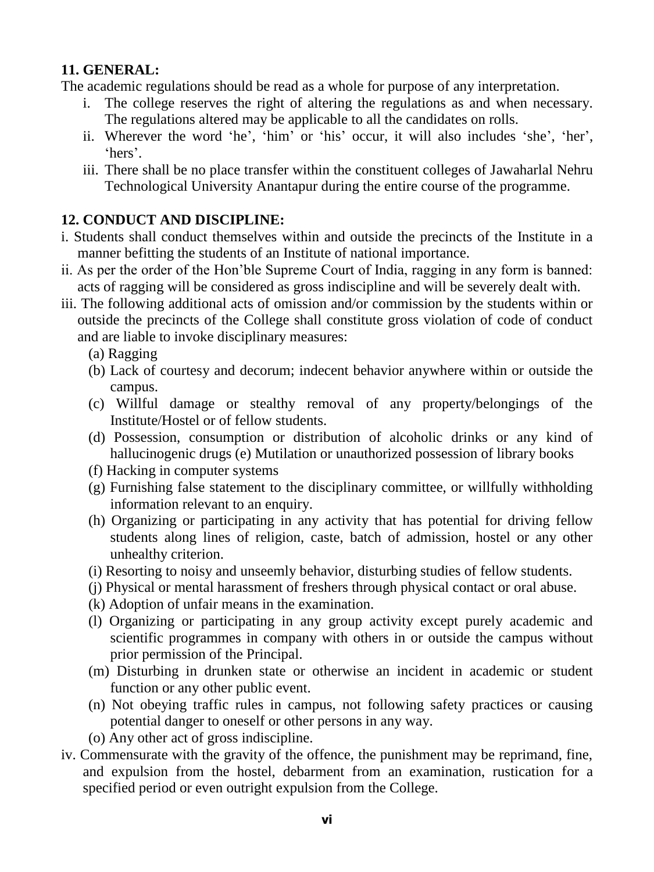### **11. GENERAL:**

The academic regulations should be read as a whole for purpose of any interpretation.

- i. The college reserves the right of altering the regulations as and when necessary. The regulations altered may be applicable to all the candidates on rolls.
- ii. Wherever the word 'he', 'him' or 'his' occur, it will also includes 'she', 'her', 'hers'.
- iii. There shall be no place transfer within the constituent colleges of Jawaharlal Nehru Technological University Anantapur during the entire course of the programme.

# **12. CONDUCT AND DISCIPLINE:**

- i. Students shall conduct themselves within and outside the precincts of the Institute in a manner befitting the students of an Institute of national importance.
- ii. As per the order of the Hon'ble Supreme Court of India, ragging in any form is banned: acts of ragging will be considered as gross indiscipline and will be severely dealt with.
- iii. The following additional acts of omission and/or commission by the students within or outside the precincts of the College shall constitute gross violation of code of conduct and are liable to invoke disciplinary measures:
	- (a) Ragging
	- (b) Lack of courtesy and decorum; indecent behavior anywhere within or outside the campus.
	- (c) Willful damage or stealthy removal of any property/belongings of the Institute/Hostel or of fellow students.
	- (d) Possession, consumption or distribution of alcoholic drinks or any kind of hallucinogenic drugs (e) Mutilation or unauthorized possession of library books
	- (f) Hacking in computer systems
	- (g) Furnishing false statement to the disciplinary committee, or willfully withholding information relevant to an enquiry.
	- (h) Organizing or participating in any activity that has potential for driving fellow students along lines of religion, caste, batch of admission, hostel or any other unhealthy criterion.
	- (i) Resorting to noisy and unseemly behavior, disturbing studies of fellow students.
	- (j) Physical or mental harassment of freshers through physical contact or oral abuse.
	- (k) Adoption of unfair means in the examination.
	- (l) Organizing or participating in any group activity except purely academic and scientific programmes in company with others in or outside the campus without prior permission of the Principal.
	- (m) Disturbing in drunken state or otherwise an incident in academic or student function or any other public event.
	- (n) Not obeying traffic rules in campus, not following safety practices or causing potential danger to oneself or other persons in any way.
	- (o) Any other act of gross indiscipline.
- iv. Commensurate with the gravity of the offence, the punishment may be reprimand, fine, and expulsion from the hostel, debarment from an examination, rustication for a specified period or even outright expulsion from the College.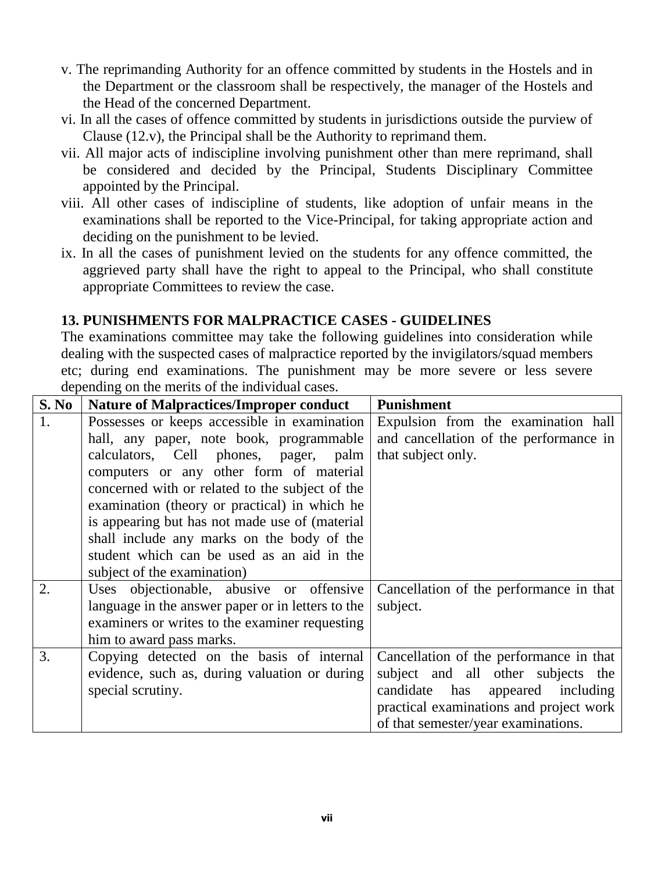- v. The reprimanding Authority for an offence committed by students in the Hostels and in the Department or the classroom shall be respectively, the manager of the Hostels and the Head of the concerned Department.
- vi. In all the cases of offence committed by students in jurisdictions outside the purview of Clause (12.v), the Principal shall be the Authority to reprimand them.
- vii. All major acts of indiscipline involving punishment other than mere reprimand, shall be considered and decided by the Principal, Students Disciplinary Committee appointed by the Principal.
- viii. All other cases of indiscipline of students, like adoption of unfair means in the examinations shall be reported to the Vice-Principal, for taking appropriate action and deciding on the punishment to be levied.
- ix. In all the cases of punishment levied on the students for any offence committed, the aggrieved party shall have the right to appeal to the Principal, who shall constitute appropriate Committees to review the case.

### **13. PUNISHMENTS FOR MALPRACTICE CASES - GUIDELINES**

The examinations committee may take the following guidelines into consideration while dealing with the suspected cases of malpractice reported by the invigilators/squad members etc; during end examinations. The punishment may be more severe or less severe depending on the merits of the individual cases.

| <b>S. No</b> | <b>Nature of Malpractices/Improper conduct</b>    | <b>Punishment</b>                       |
|--------------|---------------------------------------------------|-----------------------------------------|
| 1.           | Possesses or keeps accessible in examination      | Expulsion from the examination hall     |
|              | hall, any paper, note book, programmable          | and cancellation of the performance in  |
|              | calculators, Cell phones, pager, palm             | that subject only.                      |
|              | computers or any other form of material           |                                         |
|              | concerned with or related to the subject of the   |                                         |
|              | examination (theory or practical) in which he     |                                         |
|              | is appearing but has not made use of (material    |                                         |
|              | shall include any marks on the body of the        |                                         |
|              | student which can be used as an aid in the        |                                         |
|              | subject of the examination)                       |                                         |
| 2.           | Uses objectionable, abusive or offensive          | Cancellation of the performance in that |
|              | language in the answer paper or in letters to the | subject.                                |
|              | examiners or writes to the examiner requesting    |                                         |
|              | him to award pass marks.                          |                                         |
| 3.           | Copying detected on the basis of internal         | Cancellation of the performance in that |
|              | evidence, such as, during valuation or during     | subject and all other subjects the      |
|              | special scrutiny.                                 | candidate has<br>appeared including     |
|              |                                                   | practical examinations and project work |
|              |                                                   | of that semester/year examinations.     |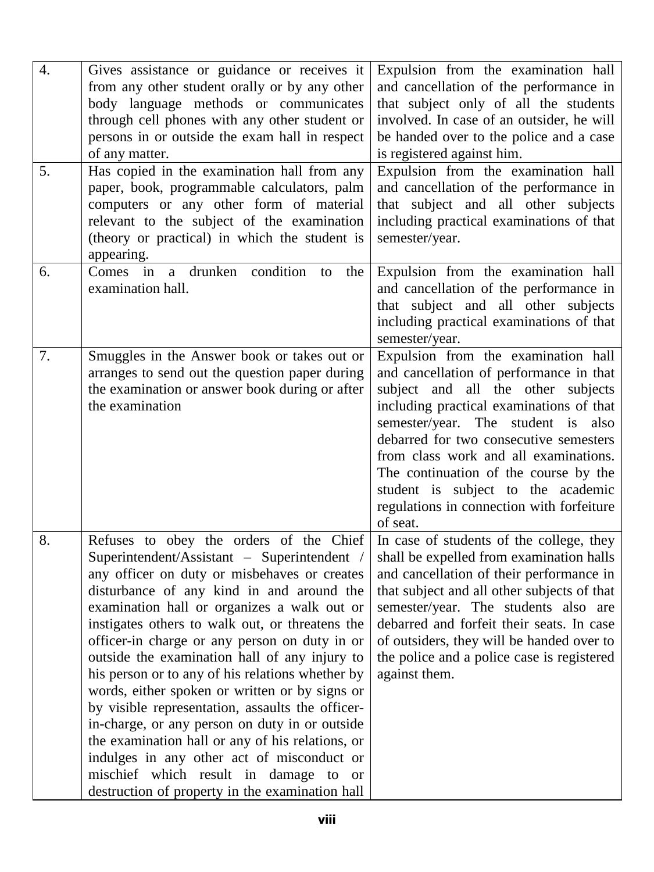| $\overline{4}$ .<br>5. | Gives assistance or guidance or receives it<br>from any other student orally or by any other<br>body language methods or communicates<br>through cell phones with any other student or<br>persons in or outside the exam hall in respect<br>of any matter.<br>Has copied in the examination hall from any<br>paper, book, programmable calculators, palm<br>computers or any other form of material<br>relevant to the subject of the examination<br>(theory or practical) in which the student is<br>appearing.                                                                                                                                                                                                                                                                                  | Expulsion from the examination hall<br>and cancellation of the performance in<br>that subject only of all the students<br>involved. In case of an outsider, he will<br>be handed over to the police and a case<br>is registered against him.<br>Expulsion from the examination hall<br>and cancellation of the performance in<br>that subject and all other subjects<br>including practical examinations of that<br>semester/year.   |
|------------------------|---------------------------------------------------------------------------------------------------------------------------------------------------------------------------------------------------------------------------------------------------------------------------------------------------------------------------------------------------------------------------------------------------------------------------------------------------------------------------------------------------------------------------------------------------------------------------------------------------------------------------------------------------------------------------------------------------------------------------------------------------------------------------------------------------|--------------------------------------------------------------------------------------------------------------------------------------------------------------------------------------------------------------------------------------------------------------------------------------------------------------------------------------------------------------------------------------------------------------------------------------|
| 6.                     | Comes in a drunken condition<br>to<br>the<br>examination hall.                                                                                                                                                                                                                                                                                                                                                                                                                                                                                                                                                                                                                                                                                                                                    | Expulsion from the examination hall<br>and cancellation of the performance in<br>that subject and all other subjects<br>including practical examinations of that<br>semester/year.                                                                                                                                                                                                                                                   |
| 7.                     | Smuggles in the Answer book or takes out or<br>arranges to send out the question paper during<br>the examination or answer book during or after<br>the examination                                                                                                                                                                                                                                                                                                                                                                                                                                                                                                                                                                                                                                | Expulsion from the examination hall<br>and cancellation of performance in that<br>subject and all the other subjects<br>including practical examinations of that<br>semester/year. The<br>student is also<br>debarred for two consecutive semesters<br>from class work and all examinations.<br>The continuation of the course by the<br>student is subject to the academic<br>regulations in connection with forfeiture<br>of seat. |
| 8.                     | Refuses to obey the orders of the Chief<br>Superintendent/Assistant - Superintendent /<br>any officer on duty or misbehaves or creates<br>disturbance of any kind in and around the<br>examination hall or organizes a walk out or<br>instigates others to walk out, or threatens the<br>officer-in charge or any person on duty in or<br>outside the examination hall of any injury to<br>his person or to any of his relations whether by<br>words, either spoken or written or by signs or<br>by visible representation, assaults the officer-<br>in-charge, or any person on duty in or outside<br>the examination hall or any of his relations, or<br>indulges in any other act of misconduct or<br>mischief which result in damage to or<br>destruction of property in the examination hall | In case of students of the college, they<br>shall be expelled from examination halls<br>and cancellation of their performance in<br>that subject and all other subjects of that<br>semester/year. The students also are<br>debarred and forfeit their seats. In case<br>of outsiders, they will be handed over to<br>the police and a police case is registered<br>against them.                                                     |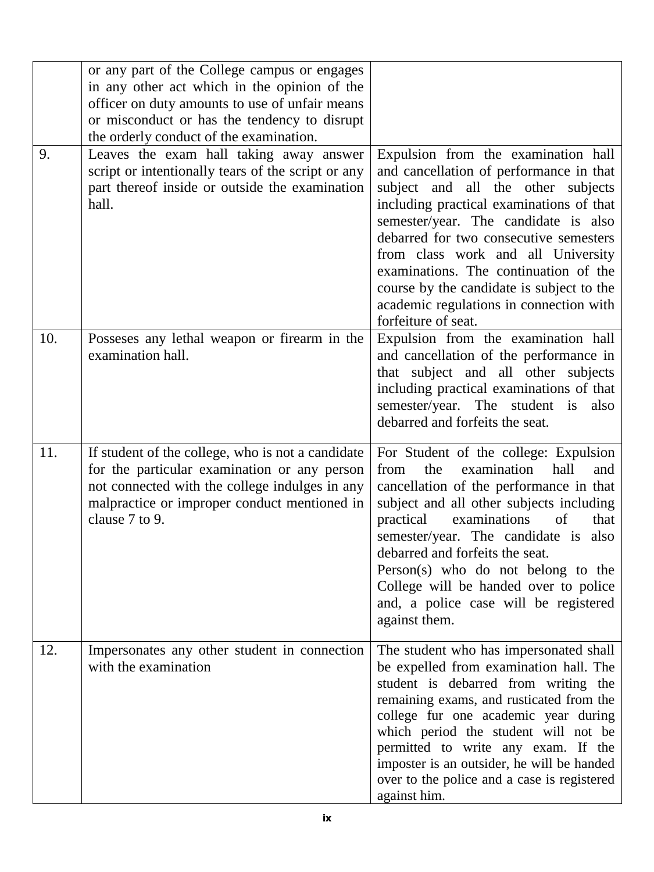|     | or any part of the College campus or engages<br>in any other act which in the opinion of the<br>officer on duty amounts to use of unfair means<br>or misconduct or has the tendency to disrupt<br>the orderly conduct of the examination. |                                                                                                                                                                                                                                                                                                                                                                                                                                                  |
|-----|-------------------------------------------------------------------------------------------------------------------------------------------------------------------------------------------------------------------------------------------|--------------------------------------------------------------------------------------------------------------------------------------------------------------------------------------------------------------------------------------------------------------------------------------------------------------------------------------------------------------------------------------------------------------------------------------------------|
| 9.  | Leaves the exam hall taking away answer<br>script or intentionally tears of the script or any<br>part thereof inside or outside the examination<br>hall.                                                                                  | Expulsion from the examination hall<br>and cancellation of performance in that<br>subject and all the other subjects<br>including practical examinations of that<br>semester/year. The candidate is also<br>debarred for two consecutive semesters<br>from class work and all University<br>examinations. The continuation of the<br>course by the candidate is subject to the<br>academic regulations in connection with<br>forfeiture of seat. |
| 10. | Possesses any lethal weapon or firearm in the<br>examination hall.                                                                                                                                                                        | Expulsion from the examination hall<br>and cancellation of the performance in<br>that subject and all other subjects<br>including practical examinations of that<br>semester/year. The student is<br>also<br>debarred and forfeits the seat.                                                                                                                                                                                                     |
| 11. | If student of the college, who is not a candidate<br>for the particular examination or any person<br>not connected with the college indulges in any<br>malpractice or improper conduct mentioned in<br>clause 7 to 9.                     | For Student of the college: Expulsion<br>hall<br>from<br>examination<br>the<br>and<br>cancellation of the performance in that<br>subject and all other subjects including<br>practical<br>examinations<br>of<br>that<br>semester/year. The candidate is<br>also<br>debarred and forfeits the seat.<br>Person(s) who do not belong to the<br>College will be handed over to police<br>and, a police case will be registered<br>against them.      |
| 12. | Impersonates any other student in connection<br>with the examination                                                                                                                                                                      | The student who has impersonated shall<br>be expelled from examination hall. The<br>student is debarred from writing the<br>remaining exams, and rusticated from the<br>college fur one academic year during<br>which period the student will not be<br>permitted to write any exam. If the<br>imposter is an outsider, he will be handed<br>over to the police and a case is registered<br>against him.                                         |